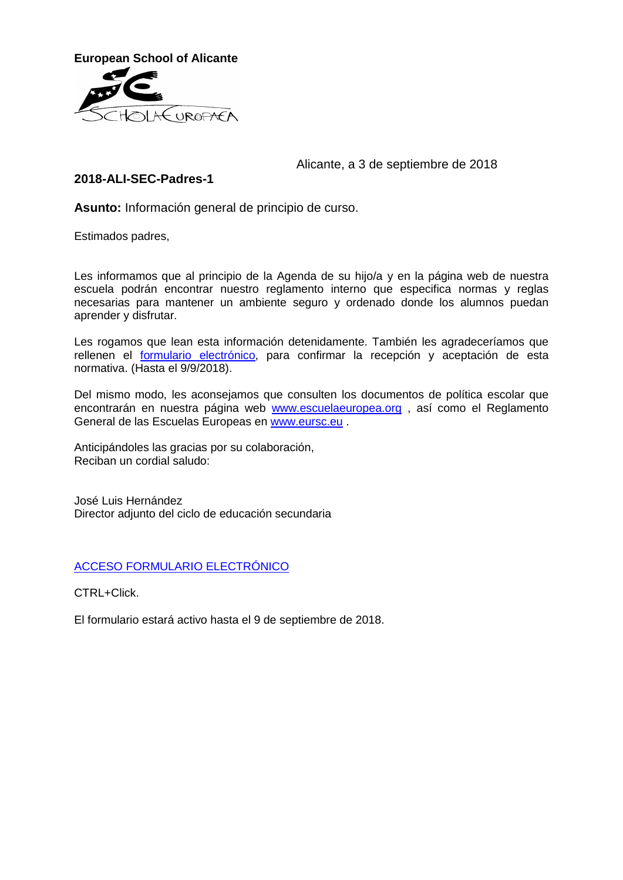

## Alicante, a 3 de septiembre de 2018

## **2018-ALI-SEC-Padres-1**

**Asunto:** Información general de principio de curso.

Estimados padres,

Les informamos que al principio de la Agenda de su hijo/a y en la página web de nuestra escuela podrán encontrar nuestro reglamento interno que especifica normas y reglas necesarias para mantener un ambiente seguro y ordenado donde los alumnos puedan aprender y disfrutar.

Les rogamos que lean esta información detenidamente. También les agradeceríamos que rellenen el formulario [electrónico,](https://forms.office.com/Pages/ResponsePage.aspx?id=aeA505McU0OzBwsicDW6QiZKHLwOjF1JqnOURdITu8JURFZVVUxCRVlWNFVQS1FTSzNDUFdIMlBGNi4u) para confirmar la recepción y aceptación de esta normativa. (Hasta el 9/9/2018).

Del mismo modo, les aconsejamos que consulten los documentos de política escolar que encontrarán en nuestra página web **[www.escuelaeuropea.org](http://www.escuelaeuropea.org/)**, así como el Reglamento General de las Escuelas Europeas en [www.eursc.eu](http://www.eursc.eu/) .

Anticipándoles las gracias por su colaboración, Reciban un cordial saludo:

José Luis Hernández Director adjunto del ciclo de educación secundaria

## [ACCESO FORMULARIO ELECTRÓNICO](https://forms.office.com/Pages/ResponsePage.aspx?id=aeA505McU0OzBwsicDW6QiZKHLwOjF1JqnOURdITu8JURFZVVUxCRVlWNFVQS1FTSzNDUFdIMlBGNi4u)

CTRL+Click.

El formulario estará activo hasta el 9 de septiembre de 2018.